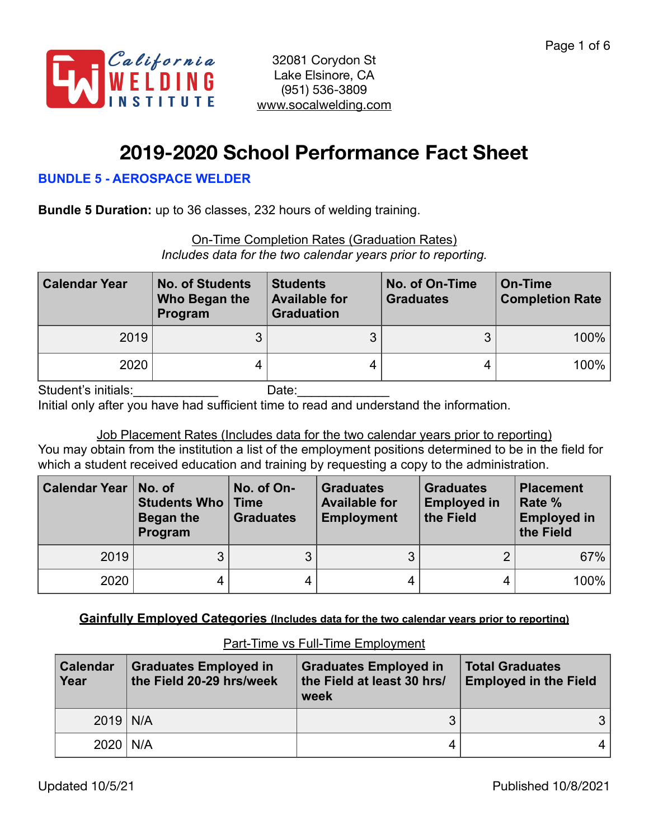

# **2019-2020 School Performance Fact Sheet**

#### **BUNDLE 5 - AEROSPACE WELDER**

**Bundle 5 Duration:** up to 36 classes, 232 hours of welding training.

| <b>On-Time Completion Rates (Graduation Rates)</b>           |  |  |
|--------------------------------------------------------------|--|--|
| Includes data for the two calendar years prior to reporting. |  |  |

| <b>Calendar Year</b> | <b>No. of Students</b><br>Who Began the<br>Program | <b>Students</b><br><b>Available for</b><br><b>Graduation</b> | No. of On-Time<br><b>Graduates</b> | On-Time<br><b>Completion Rate</b> |
|----------------------|----------------------------------------------------|--------------------------------------------------------------|------------------------------------|-----------------------------------|
| 2019                 | າ<br>J                                             |                                                              | 3                                  | 100%                              |
| 2020                 | 4                                                  |                                                              |                                    | 100%                              |

Student's initials:\_\_\_\_\_\_\_\_\_\_\_\_ Date:\_\_\_\_\_\_\_\_\_\_\_\_\_

Initial only after you have had sufficient time to read and understand the information.

Job Placement Rates (Includes data for the two calendar years prior to reporting) You may obtain from the institution a list of the employment positions determined to be in the field for which a student received education and training by requesting a copy to the administration.

| <b>Calendar Year</b> | No. of<br>Students Who<br>Began the<br>Program | No. of On-<br>∣ Time<br><b>Graduates</b> | <b>Graduates</b><br><b>Available for</b><br><b>Employment</b> | <b>Graduates</b><br><b>Employed in</b><br>the Field | <b>Placement</b><br>Rate %<br><b>Employed in</b><br>the Field |
|----------------------|------------------------------------------------|------------------------------------------|---------------------------------------------------------------|-----------------------------------------------------|---------------------------------------------------------------|
| 2019                 | 3                                              |                                          | 3                                                             | ∩                                                   | 67%                                                           |
| 2020                 | 4                                              | 4                                        |                                                               |                                                     | 100%                                                          |

**Gainfully Employed Categories (Includes data for the two calendar years prior to reporting)**

| <b>Calendar</b><br>Year | <b>Graduates Employed in</b><br>the Field 20-29 hrs/week | <b>Graduates Employed in</b><br>the Field at least 30 hrs/<br>week | <b>Total Graduates</b><br><b>Employed in the Field</b> |
|-------------------------|----------------------------------------------------------|--------------------------------------------------------------------|--------------------------------------------------------|
| $2019$ N/A              |                                                          |                                                                    | 3 I                                                    |
| $2020$   N/A            |                                                          |                                                                    | 4                                                      |

### Part-Time vs Full-Time Employment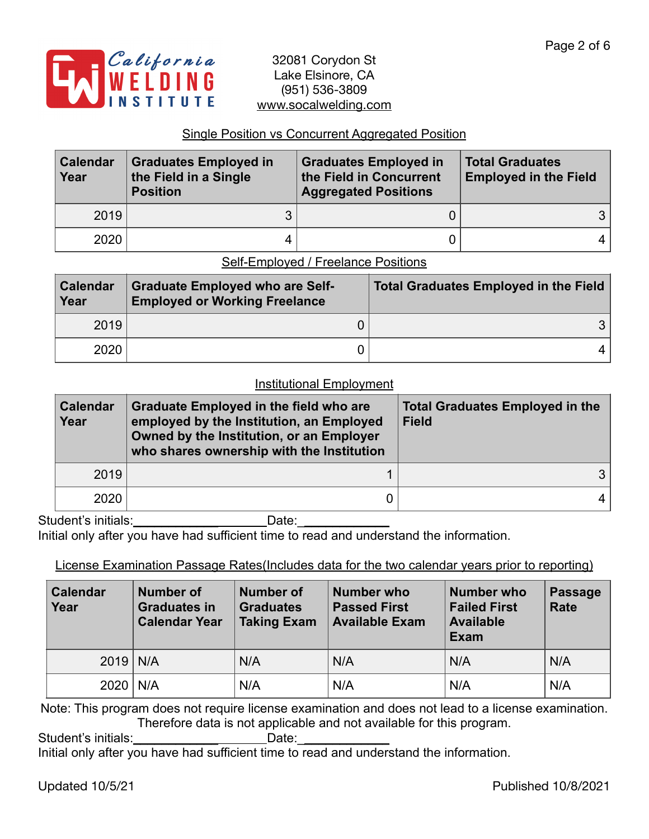

#### Single Position vs Concurrent Aggregated Position

| <b>Calendar</b><br>Year | <b>Graduates Employed in</b><br>the Field in a Single<br><b>Position</b> | <b>Graduates Employed in</b><br>the Field in Concurrent<br><b>Aggregated Positions</b> | <b>Total Graduates</b><br><b>Employed in the Field</b> |  |
|-------------------------|--------------------------------------------------------------------------|----------------------------------------------------------------------------------------|--------------------------------------------------------|--|
| 2019                    |                                                                          |                                                                                        | 31                                                     |  |
| 2020                    |                                                                          |                                                                                        | 4 <sup>1</sup>                                         |  |

#### Self-Employed / Freelance Positions

| <b>Calendar</b><br>Year | <b>Graduate Employed who are Self-</b><br><b>Employed or Working Freelance</b> | <b>Total Graduates Employed in the Field</b> |
|-------------------------|--------------------------------------------------------------------------------|----------------------------------------------|
| 2019                    |                                                                                |                                              |
| 2020                    |                                                                                |                                              |

#### Institutional Employment

| <b>Calendar</b><br>Year | <b>Graduate Employed in the field who are</b><br>employed by the Institution, an Employed<br>Owned by the Institution, or an Employer<br>who shares ownership with the Institution | <b>Total Graduates Employed in the</b><br><b>Field</b> |  |  |
|-------------------------|------------------------------------------------------------------------------------------------------------------------------------------------------------------------------------|--------------------------------------------------------|--|--|
| 2019                    |                                                                                                                                                                                    |                                                        |  |  |
| 2020                    |                                                                                                                                                                                    | 4                                                      |  |  |

Student's initials:\_\_\_\_\_\_\_\_\_\_\_\_ Date:\_\_\_\_\_\_\_\_\_\_\_\_\_

Initial only after you have had sufficient time to read and understand the information.

License Examination Passage Rates(Includes data for the two calendar years prior to reporting)

| <b>Calendar</b><br>Year | <b>Number of</b><br><b>Graduates in</b><br><b>Calendar Year</b> | <b>Number of</b><br><b>Graduates</b><br><b>Taking Exam</b> | Number who<br><b>Passed First</b><br><b>Available Exam</b> | <b>Number who</b><br><b>Failed First</b><br><b>Available</b><br>Exam | <b>Passage</b><br><b>Rate</b> |
|-------------------------|-----------------------------------------------------------------|------------------------------------------------------------|------------------------------------------------------------|----------------------------------------------------------------------|-------------------------------|
| $2019$ N/A              |                                                                 | N/A                                                        | N/A                                                        | N/A                                                                  | N/A                           |
| $2020$   N/A            |                                                                 | N/A                                                        | N/A                                                        | N/A                                                                  | N/A                           |

Note: This program does not require license examination and does not lead to a license examination. Therefore data is not applicable and not available for this program.

Student's initials: example and Date:

Initial only after you have had sufficient time to read and understand the information.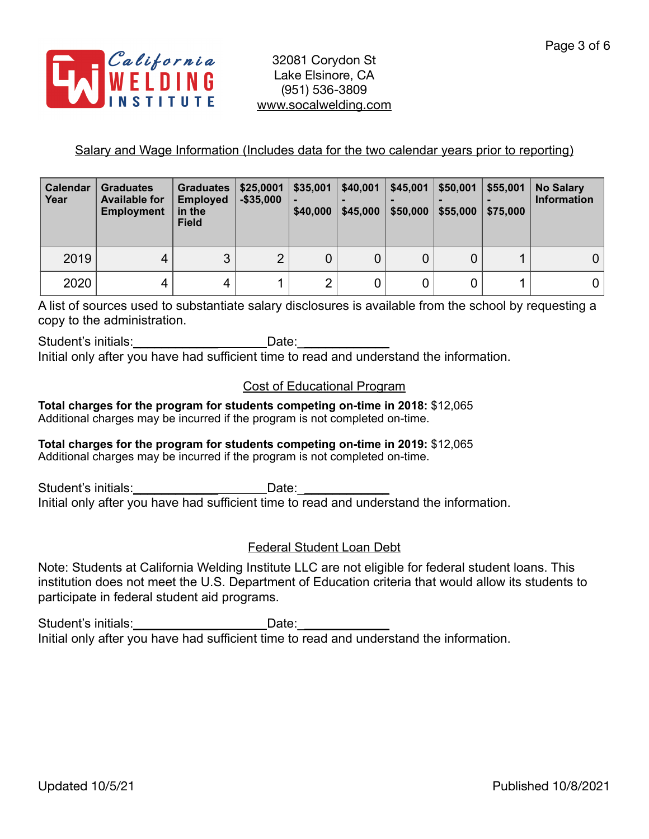

#### Salary and Wage Information (Includes data for the two calendar years prior to reporting)

| Calendar<br>Year | <b>Graduates</b><br><b>Available for</b><br><b>Employment</b> | <b>Graduates</b><br><b>Employed</b><br>in the<br><b>Field</b> | \$25,0001<br>$-$ \$35,000 | \$35,001<br>\$40,000 | \$40,001<br>\$45,000 | \$45,001<br>\$50,000 | \$50,001<br>\$55,000 | \$55,001<br>\$75,000 | <b>No Salary</b><br><b>Information</b> |
|------------------|---------------------------------------------------------------|---------------------------------------------------------------|---------------------------|----------------------|----------------------|----------------------|----------------------|----------------------|----------------------------------------|
| 2019             | 4                                                             | 3                                                             | $\overline{2}$            | 0                    |                      |                      |                      |                      | 0                                      |
| 2020             | 4                                                             | 4                                                             |                           | $\overline{2}$       |                      |                      |                      |                      | 0                                      |

A list of sources used to substantiate salary disclosures is available from the school by requesting a copy to the administration.

Student's initials: Date: Initial only after you have had sufficient time to read and understand the information.

## Cost of Educational Program

**Total charges for the program for students competing on-time in 2018:** \$12,065 Additional charges may be incurred if the program is not completed on-time.

#### **Total charges for the program for students competing on-time in 2019:** \$12,065 Additional charges may be incurred if the program is not completed on-time.

Student's initials: Date:

Initial only after you have had sufficient time to read and understand the information.

### Federal Student Loan Debt

Note: Students at California Welding Institute LLC are not eligible for federal student loans. This institution does not meet the U.S. Department of Education criteria that would allow its students to participate in federal student aid programs.

Student's initials: example and Date: Initial only after you have had sufficient time to read and understand the information.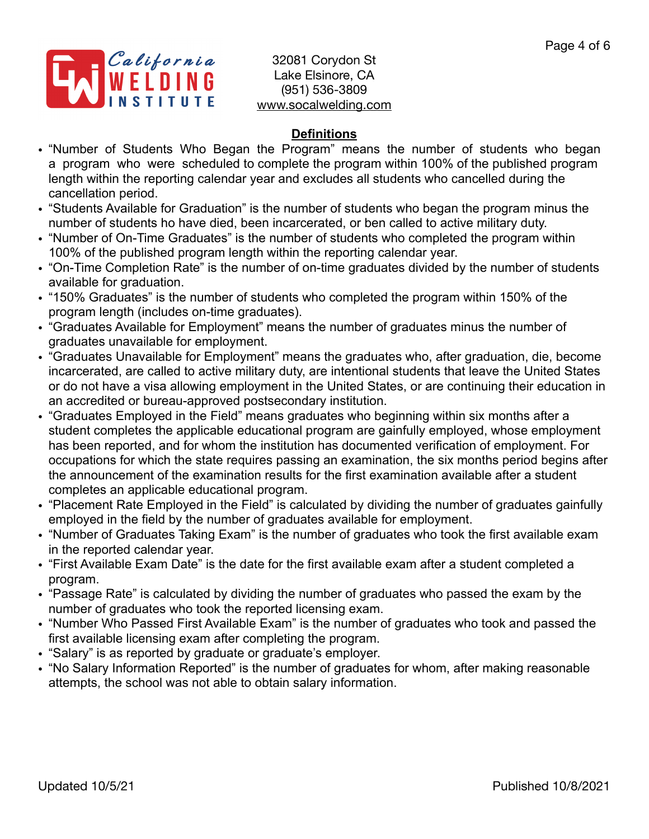

## **Definitions**

- "Number of Students Who Began the Program" means the number of students who began a program who were scheduled to complete the program within 100% of the published program length within the reporting calendar year and excludes all students who cancelled during the cancellation period.
- "Students Available for Graduation" is the number of students who began the program minus the number of students ho have died, been incarcerated, or ben called to active military duty.
- "Number of On-Time Graduates" is the number of students who completed the program within 100% of the published program length within the reporting calendar year.
- "On-Time Completion Rate" is the number of on-time graduates divided by the number of students available for graduation.
- "150% Graduates" is the number of students who completed the program within 150% of the program length (includes on-time graduates).
- "Graduates Available for Employment" means the number of graduates minus the number of graduates unavailable for employment.
- "Graduates Unavailable for Employment" means the graduates who, after graduation, die, become incarcerated, are called to active military duty, are intentional students that leave the United States or do not have a visa allowing employment in the United States, or are continuing their education in an accredited or bureau-approved postsecondary institution.
- "Graduates Employed in the Field" means graduates who beginning within six months after a student completes the applicable educational program are gainfully employed, whose employment has been reported, and for whom the institution has documented verification of employment. For occupations for which the state requires passing an examination, the six months period begins after the announcement of the examination results for the first examination available after a student completes an applicable educational program.
- "Placement Rate Employed in the Field" is calculated by dividing the number of graduates gainfully employed in the field by the number of graduates available for employment.
- "Number of Graduates Taking Exam" is the number of graduates who took the first available exam in the reported calendar year.
- "First Available Exam Date" is the date for the first available exam after a student completed a program.
- "Passage Rate" is calculated by dividing the number of graduates who passed the exam by the number of graduates who took the reported licensing exam.
- "Number Who Passed First Available Exam" is the number of graduates who took and passed the first available licensing exam after completing the program.
- "Salary" is as reported by graduate or graduate's employer.
- "No Salary Information Reported" is the number of graduates for whom, after making reasonable attempts, the school was not able to obtain salary information.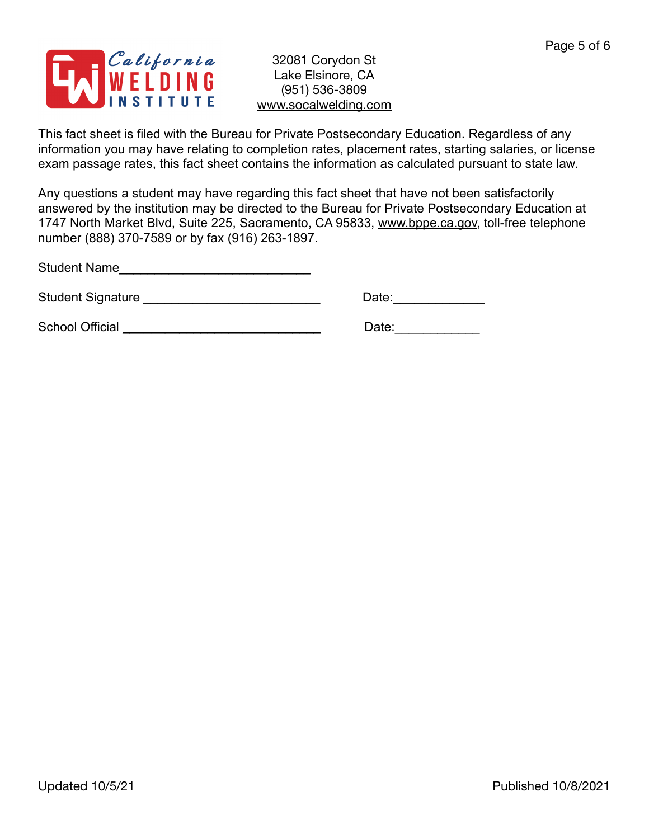

This fact sheet is filed with the Bureau for Private Postsecondary Education. Regardless of any information you may have relating to completion rates, placement rates, starting salaries, or license exam passage rates, this fact sheet contains the information as calculated pursuant to state law.

Any questions a student may have regarding this fact sheet that have not been satisfactorily answered by the institution may be directed to the Bureau for Private Postsecondary Education at 1747 North Market Blvd, Suite 225, Sacramento, CA 95833, [www.bppe.ca.gov](http://www.bppe.ca.gov), toll-free telephone number (888) 370-7589 or by fax (916) 263-1897.

Student Name\_\_\_\_\_\_\_\_\_\_\_\_\_\_\_\_\_\_\_\_\_\_\_\_\_\_\_

Student Signature \_\_\_\_\_\_\_\_\_\_\_\_\_\_\_\_\_\_\_\_\_\_\_\_\_ Date:\_\_\_\_\_\_\_\_\_\_\_\_\_

School Official \_\_\_\_\_\_\_\_\_\_\_\_\_\_\_\_\_\_\_\_\_\_\_\_\_\_\_\_ Date:\_\_\_\_\_\_\_\_\_\_\_\_